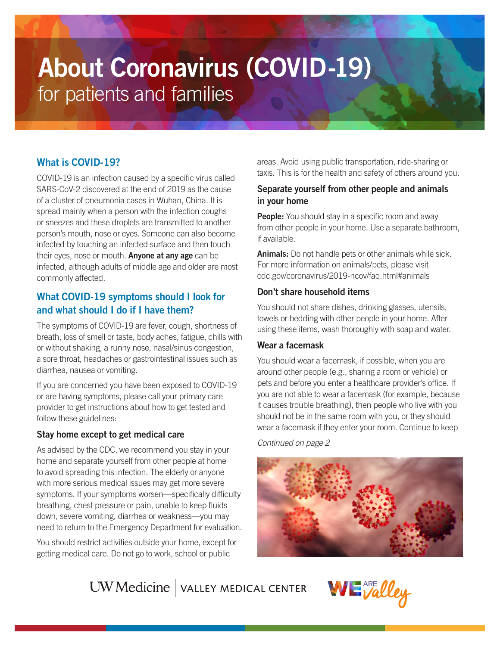# About Coronavirus (COVID-19) for patients and families

# What is COVID-19?

COVID-19 is an infection caused by a specific virus called SARS-CoV-2 discovered at the end of 2019 as the cause of a cluster of pneumonia cases in Wuhan, China. It is spread mainly when a person with the infection coughs or sneezes and these droplets are transmitted to another person's mouth, nose or eyes. Someone can also become infected by touching an infected surface and then touch their eyes, nose or mouth. **Anyone at any age** can be infected, although adults of middle age and older are most commonly affected.

## What COVID-19 symptoms should I look for and what should I do if I have them?

The symptoms of COVID-19 are fever, cough, shortness of breath, loss of smell or taste, body aches, fatigue, chills with or without shaking, a runny nose, nasal/sinus congestion, a sore throat, headaches or gastrointestinal issues such as diarrhea, nausea or vomiting.

If you are concerned you have been exposed to COVID-19 or are having symptoms, please call your primary care provider to get instructions about how to get tested and follow these guidelines:

#### Stay home except to get medical care

As advised by the CDC, we recommend you stay in your home and separate yourself from other people at home to avoid spreading this infection. The elderly or anyone with more serious medical issues may get more severe symptoms. If your symptoms worsen—specifically difficulty breathing, chest pressure or pain, unable to keep fluids down, severe vomiting, diarrhea or weakness—you may need to return to the Emergency Department for evaluation.

You should restrict activities outside your home, except for getting medical care. Do not go to work, school or public

areas. Avoid using public transportation, ride-sharing or taxis. This is for the health and safety of others around you.

## Separate yourself from other people and animals in your home

**People:** You should stay in a specific room and away from other people in your home. Use a separate bathroom, if available.

Animals: Do not handle pets or other animals while sick. For more information on animals/pets, please visit [cdc.gov/coronavirus/2019-ncov/faq.html#animals](http://cdc.gov/coronavirus/2019-ncov/faq.html#animals) 

#### Don't share household items

You should not share dishes, drinking glasses, utensils, towels or bedding with other people in your home. After using these items, wash thoroughly with soap and water.

#### Wear a facemask

You should wear a facemask, if possible, when you are around other people (e.g., sharing a room or vehicle) or pets and before you enter a healthcare provider's office. If you are not able to wear a facemask (for example, because it causes trouble breathing), then people who live with you should not be in the same room with you, or they should wear a facemask if they enter your room. Continue to keep

*Continued on page 2*



UW Medicine | VALLEY MEDICAL CENTER